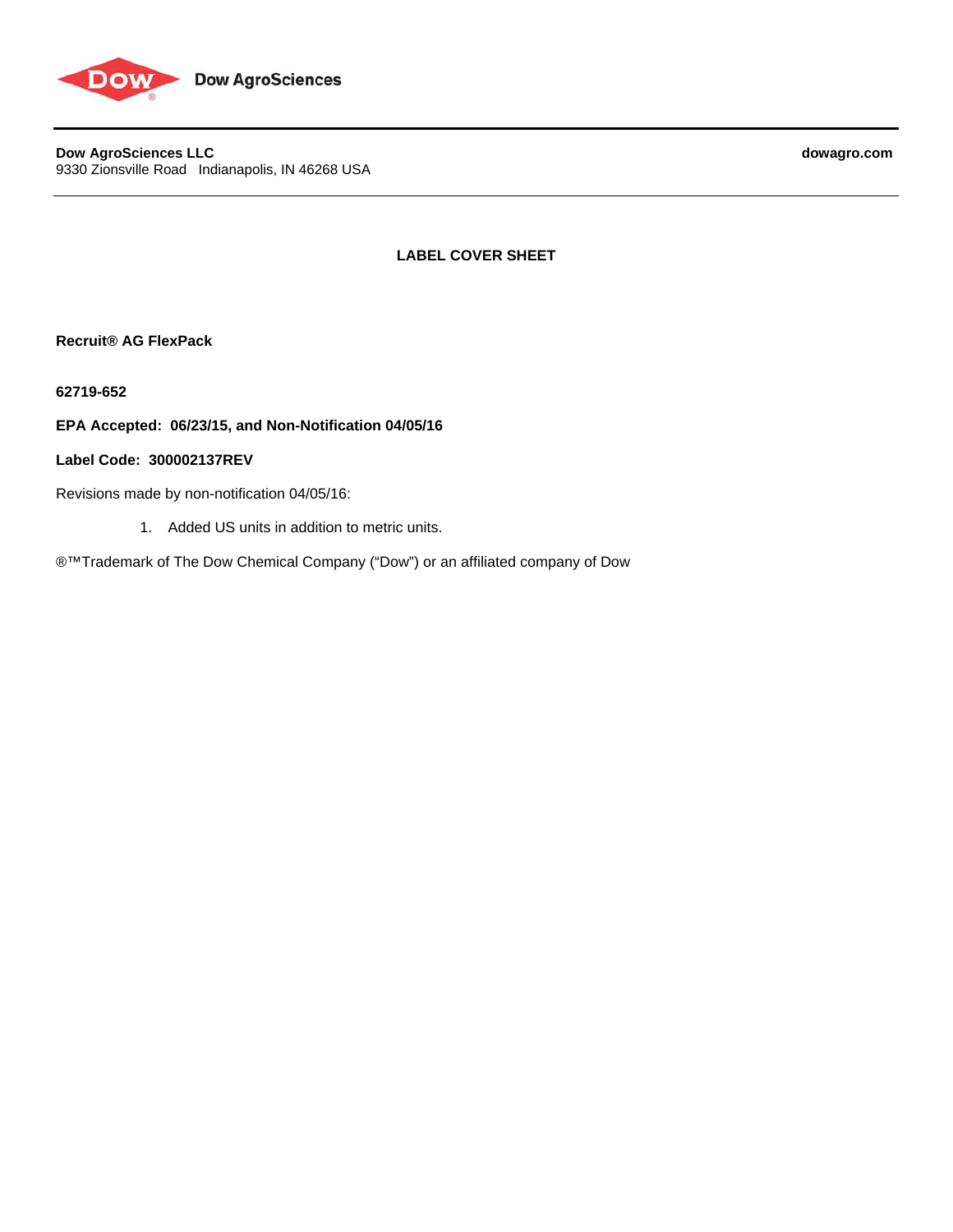

**Dow AgroSciences LLC** dowagro.com 9330 Zionsville Road Indianapolis, IN 46268 USA

**LABEL COVER SHEET** 

**Recruit® AG FlexPack** 

**62719-652** 

**EPA Accepted: 06/23/15, and Non-Notification 04/05/16** 

# **Label Code: 300002137REV**

Revisions made by non-notification 04/05/16:

1. Added US units in addition to metric units.

®™Trademark of The Dow Chemical Company ("Dow") or an affiliated company of Dow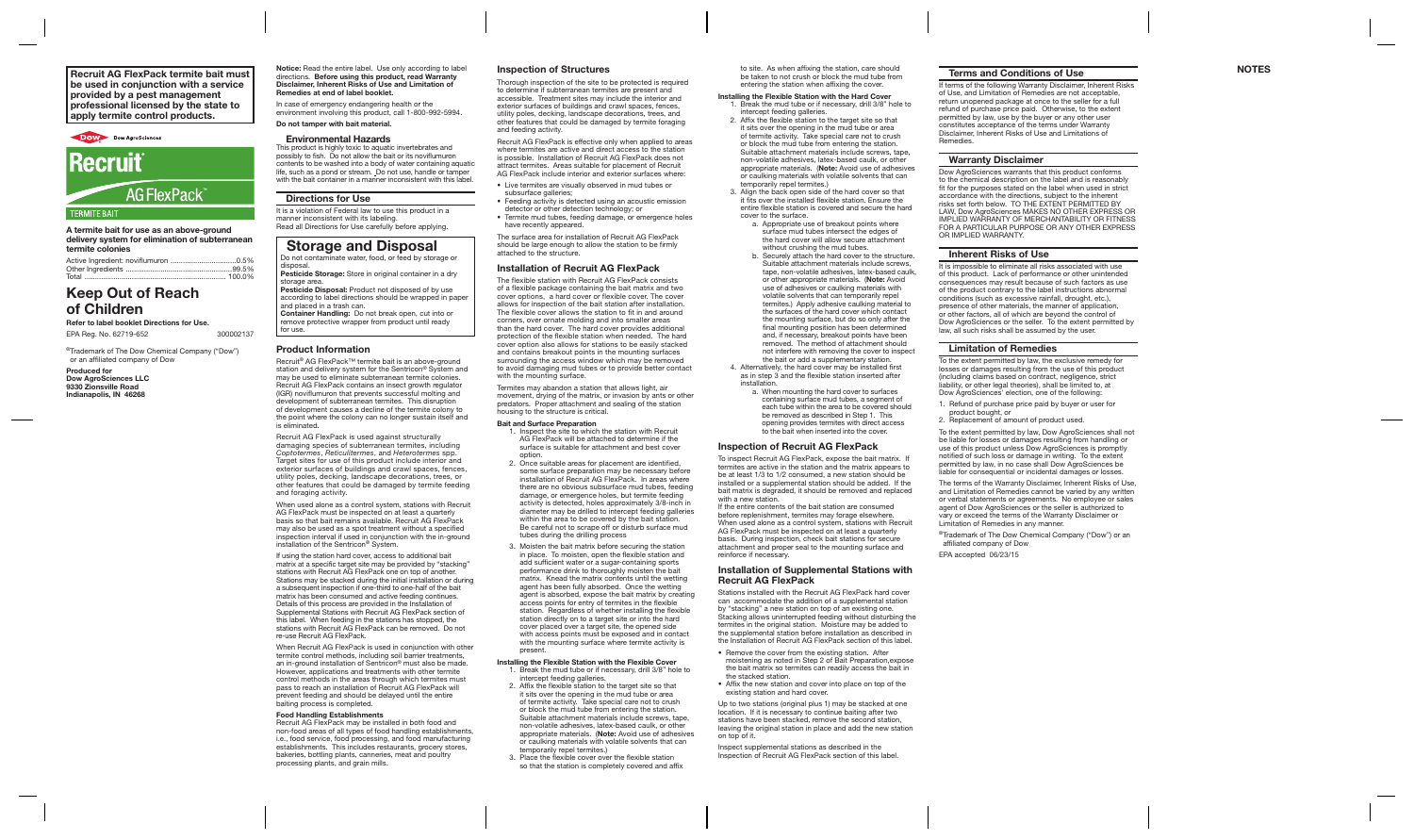A termite bait for use as an above-ground delivery system for elimination of subterranean termite colonies

| Active Ingredient: noviflumuron 0.5% |  |
|--------------------------------------|--|
|                                      |  |
|                                      |  |

#### Notice: Read the entire label. Use only according to label directions. Before using this product, read Warranty Disclaimer, Inherent Risks of Use and Limitation of nedies at end of label booklet. Recruit AG FlexPack termite bait must and the entire label. Use only according to label Inspection of Structures be the station of the station, care should **Terms and Conditions of Use**

# Keep Out of Reach of Children

Refer to label booklet Directions for Use.

EPA Reg. No. 62719-652 300002137

nemeates at end of laber bookiet.<br>In case of emergency endangering health or the environment involving this product, call 1-800-992-5994.

®Trademark of The Dow Chemical Company ("Dow") or an affiliated company of Dow

Produced for Dow AgroSciences LLC 9330 Zionsville Road Indianapolis, IN 46268

Do not contaminate water, food, or feed by storage or disposal. Pesticide Storage: Store in original container in a dry

storage area. Pesticide Disposal: Product not disposed of by use according to label directions should be wrapped in pape

# Do not tamper with bait material. Environmental Hazards

This product is highly toxic to aquatic invertebrates and possibly to fish. Do not allow the bait or its noviflumuron contents to be washed into a body of water containing aquatic life, such as a pond or stream. Do not use, handle or tamper

with the bait container in a manner inconsistent with this label.

# Directions for Use

It is a violation of Federal law to use this product in a manner inconsistent with its labeling. Read all Directions for Use carefully before applying.

# Storage and Disposal

and placed in a trash can. Container Handling: Do not break open, cut into or remove protective wrapper from product until ready for use.

If using the station hard cover, access to additional bait matrix at a specific target site may be provided by "stacking" stations with Recruit AG FlexPack one on top of another. Stations may be stacked during the initial installation or during a subsequent inspection if one-third to one-half of the bait matrix has been consumed and active feeding continues. Details of this process are provided in the Installation of Supplemental Stations with Recruit AG FlexPack section of this label. When feeding in the stations has stopped, the stations with Recruit AG FlexPack can be removed. Do not re-use Recruit AG FlexPack.

# Product Information

֕

Recruit® AG FlexPack™ termite bait is an above-ground station and delivery system for the Sentricon® System and may be used to eliminate subterranean termite colonies. Recruit AG FlexPack contains an insect growth regulator (IGR) noviflumuron that prevents successful molting and development of subterranean termites. This disruption of development causes a decline of the termite colony to the point where the colony can no longer sustain itself and is eliminated.

Recruit AG FlexPack is used against structurally damaging species of subterranean termites, including *Coptotermes*, *Reticulitermes*, and *Heterotermes* spp. Target sites for use of this product include interior and exterior surfaces of buildings and crawl spaces, fences, utility poles, decking, landscape decorations, trees, or other features that could be damaged by termite feeding and foraging activity.

When used alone as a control system, stations with Recruit AG FlexPack must be inspected on at least a quarterly basis so that bait remains available. Recruit AG FlexPack may also be used as a spot treatment without a specified inspection interval if used in conjunction with the in-ground installation of the Sentricon® System.

When Recruit AG FlexPack is used in conjunction with other termite control methods, including soil barrier treatments, an in-ground installation of Sentricon® must also be made. However, applications and treatments with other termite control methods in the areas through which termites must pass to reach an installation of Recruit AG FlexPack will prevent feeding and should be delayed until the entire baiting process is completed.

### Food Handling Establishments

Recruit AG FlexPack may be installed in both food and non-food areas of all types of food handling establishments, i.e., food service, food processing, and food manufacturing establishments. This includes restaurants, grocery stores, bakeries, bottling plants, canneries, meat and poultry processing plants, and grain mills.

## Inspection of Structures

Thorough inspection of the site to be protected is required to determine if subterranean termites are present and accessible. Treatment sites may include the interior and exterior surfaces of buildings and crawl spaces, fences, utility poles, decking, landscape decorations, trees, and other features that could be damaged by termite foraging and feeding activity.

Recruit AG FlexPack is effective only when applied to areas where termites are active and direct access to the station is possible. Installation of Recruit AG FlexPack does not attract termites. Areas suitable for placement of Recruit AG FlexPack include interior and exterior surfaces where:

- Live termites are visually observed in mud tubes or subsurface galleries:
- Feeding activity is detected using an acoustic emission detector or other detection technology; or
- Termite mud tubes, feeding damage, or emergence holes have recently appeared.

To inspect Recruit AG FlexPack, expose the bait matrix. If termites are active in the station and the matrix appears to be at least 1/3 to 1/2 consumed, a new station should be installed or a supplemental station should be added. If the bait matrix is degraded, it should be removed and replaced with a new station.

The surface area for installation of Recruit AG FlexPack should be large enough to allow the station to be firmly attached to the structure.

## Installation of Recruit AG FlexPack

The flexible station with Recruit AG FlexPack consists of a flexible package containing the bait matrix and two cover options, a hard cover or flexible cover. The cover allows for inspection of the bait station after installation. The flexible cover allows the station to fit in and around corners, over ornate molding and into smaller areas than the hard cover. The hard cover provides additional protection of the flexible station when needed. The hard cover option also allows for stations to be easily stacked and contains breakout points in the mounting surfaces surrounding the access window which may be removed to avoid damaging mud tubes or to provide better contact with the mounting surface.

If terms of the following Warranty Disclaimer, Inherent Risks of Use, and Limitation of Remedies are not acceptable, return unopened package at once to the seller for a full refund of purchase price paid. Otherwise, to the extent permitted by law, use by the buyer or any other user constitutes acceptance of the terms under Warranty Disclaimer, Inherent Risks of Use and Limitations of **Remedies** 

Termites may abandon a station that allows light, air movement, drying of the matrix, or invasion by ants or other predators. Proper attachment and sealing of the station housing to the structure is critical.

### Bait and Surface Preparation

1. Inspect the site to which the station with Recruit AG FlexPack will be attached to determine if the surface is suitable for attachment and best cover

- option. 2. Once suitable areas for placement are identified, some surface preparation may be necessary before installation of Recruit AG FlexPack. In areas where there are no obvious subsurface mud tubes, feeding damage, or emergence holes, but termite feeding activity is detected, holes approximately 3/8-inch in diameter may be drilled to intercept feeding galleries within the area to be covered by the bait station. Be careful not to scrape off or disturb surface mud tubes during the drilling process
- 3. Moisten the bait matrix before securing the station in place. To moisten, open the flexible station and add sufficient water or a sugar-containing sports performance drink to thoroughly moisten the bait matrix. Knead the matrix contents until the wetting agent has been fully absorbed. Once the wetting agent is absorbed, expose the bait matrix by creating access points for entry of termites in the flexible station. Regardless of whether installing the flexible station directly on to a target site or into the hard cover placed over a target site, the opened side with access points must be exposed and in contact with the mounting surface where termite activity is present.

# Installing the Flexible Station with the Flexible Cover

- 1. Break the mud tube or if necessary, drill 3/8" hole to intercept feeding galleries.
- 2. Affix the flexible station to the target site so that it sits over the opening in the mud tube or area of termite activity. Take special care not to crush or block the mud tube from entering the station. Suitable attachment materials include screws, tape, non-volatile adhesives, latex-based caulk, or other appropriate materials. (Note: Avoid use of adhesives or caulking materials with volatile solvents that can temporarily repel termites.)
- 3. Place the flexible cover over the flexible station so that the station is completely covered and affix

to site. As when affixing the station, care should be taken to not crush or block the mud tube from entering the station when affixing the cover.

#### Installing the Flexible Station with the Hard Cover 1. Break the mud tube or if necessary, drill 3/8" hole to intercept feeding galleries.

- 2. Affix the flexible station to the target site so that it sits over the opening in the mud tube or area of termite activity. Take special care not to crush or block the mud tube from entering the station. Suitable attachment materials include screws, tape non-volatile adhesives, latex-based caulk, or other appropriate materials. (Note: Avoid use of adhesives or caulking materials with volatile solvents that can temporarily repel termites.)
- 3. Align the back open side of the hard cover so that it fits over the installed flexible station. Ensure the entire flexible station is covered and secure the hard cover to the surface.
	- a. Appropriate use of breakout points where surface mud tubes intersect the edges of the hard cover will allow secure attachment without crushing the mud tubes.
	- b. Securely attach the hard cover to the structure. Suitable attachment materials include screws, tape, non-volatile adhesives, latex-based caulk, or other appropriate materials. (Note: Avoid use of adhesives or caulking materials with volatile solvents that can temporarily repel termites.) Apply adhesive caulking material to the surfaces of the hard cover which contact the mounting surface, but do so only after the final mounting position has been determined and, if necessary, breakout points have been removed. The method of attachment should not interfere with removing the cover to inspect the bait or add a supplementary station.
- 4. Alternatively, the hard cover may be installed first as in step 3 and the flexible station inserted after **installation** 
	- a. When mounting the hard cover to surfaces containing surface mud tubes, a segment of each tube within the area to be covered should be removed as described in Step 1. This opening provides termites with direct access to the bait when inserted into the cover.

## Inspection of Recruit AG FlexPack

If the entire contents of the bait station are consumed before replenishment, termites may forage elsewhere. When used alone as a control system, stations with Recruit AG FlexPack must be inspected on at least a quarterly basis. During inspection, check bait stations for secure attachment and proper seal to the mounting surface and reinforce if necessary.

## Installation of Supplemental Stations with Recruit AG FlexPack

Stations installed with the Recruit AG FlexPack hard cover can accommodate the addition of a supplemental station by "stacking" a new station on top of an existing one. Stacking allows uninterrupted feeding without disturbing the termites in the original station. Moisture may be added to the supplemental station before installation as described in the Installation of Recruit AG FlexPack section of this label.

- Remove the cover from the existing station. After moistening as noted in Step 2 of Bait Preparation,expose the bait matrix so termites can readily access the bait in the stacked station.
- Affix the new station and cover into place on top of the existing station and hard cover.

Up to two stations (original plus 1) may be stacked at one location. If it is necessary to continue baiting after two stations have been stacked, remove the second station. leaving the original station in place and add the new station on top of it.

Inspect supplemental stations as described in the Inspection of Recruit AG FlexPack section of this label.

### Terms and Conditions of Use

## Warranty Disclaimer

Dow AgroSciences warrants that this product conforms to the chemical description on the label and is reasonably fit for the purposes stated on the label when used in strict accordance with the directions, subject to the inherent risks set forth below. TO THE EXTENT PERMITTED BY LAW, Dow AgroSciences MAKES NO OTHER EXPRESS OR IMPLIED WARRANTY OF MERCHANTABILITY OR FITNESS FOR A PARTICULAR PURPOSE OR ANY OTHER EXPRESS OR IMPLIED WARRANTY.

### Inherent Risks of Use

It is impossible to eliminate all risks associated with use of this product. Lack of performance or other unintended consequences may result because of such factors as use of the product contrary to the label instructions abnormal conditions (such as excessive rainfall, drought, etc.), presence of other materials, the manner of application, or other factors, all of which are beyond the control of Dow AgroSciences or the seller. To the extent permitted by law, all such risks shall be assumed by the user.

### Limitation of Remedies

To the extent permitted by law, the exclusive remedy for losses or damages resulting from the use of this product (including claims based on contract, negligence, strict liability, or other legal theories), shall be limited to, at Dow AgroSciences' election, one of the following:

1. Refund of purchase price paid by buyer or user for product bought, or

2. Replacement of amount of product used.

To the extent permitted by law, Dow AgroSciences shall not be liable for losses or damages resulting from handling or use of this product unless Dow AgroSciences is promptly notified of such loss or damage in writing. To the extent permitted by law, in no case shall Dow AgroSciences be liable for consequential or incidental damages or losses.

The terms of the Warranty Disclaimer, Inherent Risks of Use, and Limitation of Remedies cannot be varied by any written or verbal statements or agreements. No employee or sales agent of Dow AgroSciences or the seller is authorized to vary or exceed the terms of the Warranty Disclaimer or Limitation of Remedies in any manner.

®Trademark of The Dow Chemical Company ("Dow") or an affiliated company of Dow

EPA accepted 06/23/15

be used in conjunction with a service provided by a pest management professional licensed by the state to apply termite control products.

# DOW Dow AgroSciences **Recruit AG FlexPack FRMITE RAIT**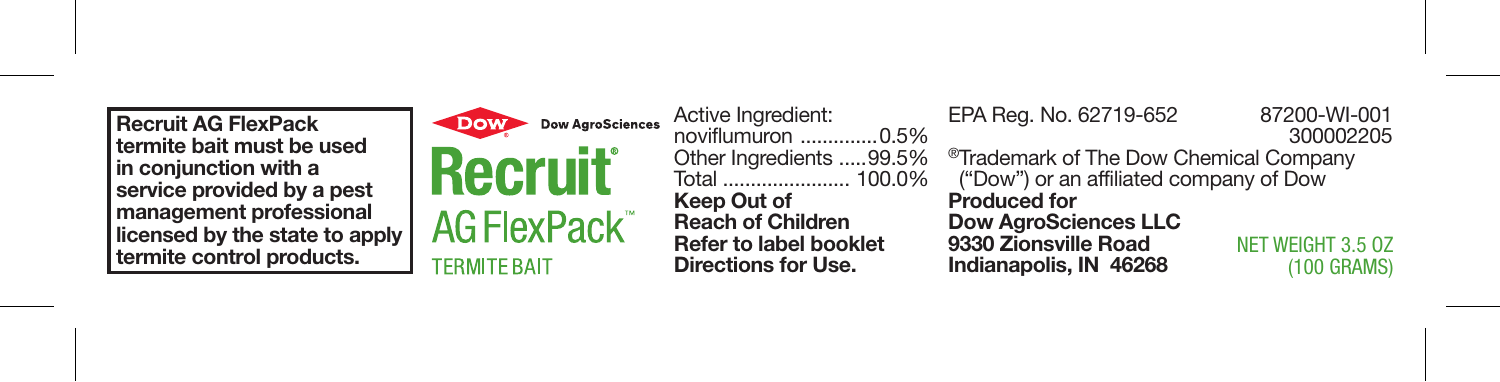Recruit AG FlexPack termite bait must be used in conjunction with a service provided by a pest management professional licensed by the state to apply termite control products.



**Dow AgroSciences Recruit AG FlexPack TERMITE RAIT** 

Active Ingredient: noviflumuron ..............0.5% Other Ingredients .....99.5%<br>Total 100.0% Keep Out of Reach of Children Refer to label booklet Directions for Use.

NET WEIGHT 3.5 OZ (100 GRAMS) EPA Reg. No. 62719-652 87200-WI-001 <sup>®</sup>Trademark of The Dow Chemical Company ("Dow") or an affiliated company of Dow Produced for Dow AgroSciences LLC 9330 Zionsville Road Indianapolis, IN 46268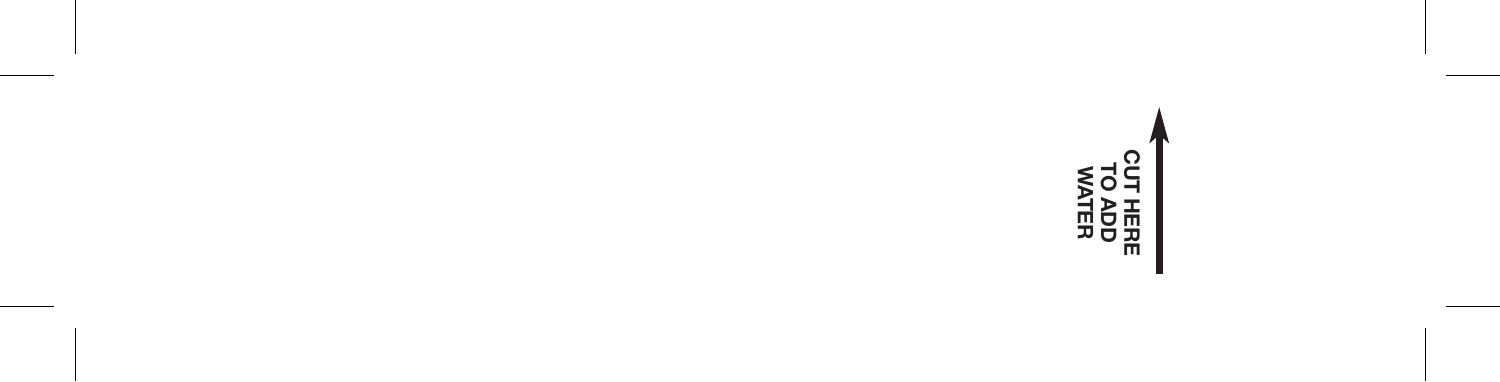# CUT HERE **MATER<br>TO ADD**<br>WATER<br>WATER TO ADD

ш